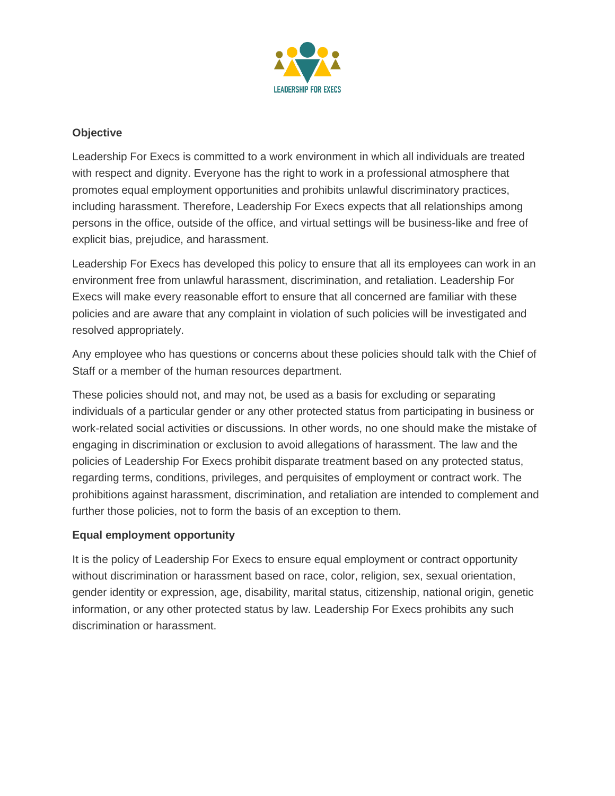

## **Objective**

Leadership For Execs is committed to a work environment in which all individuals are treated with respect and dignity. Everyone has the right to work in a professional atmosphere that promotes equal employment opportunities and prohibits unlawful discriminatory practices, including harassment. Therefore, Leadership For Execs expects that all relationships among persons in the office, outside of the office, and virtual settings will be business-like and free of explicit bias, prejudice, and harassment.

Leadership For Execs has developed this policy to ensure that all its employees can work in an environment free from unlawful harassment, discrimination, and retaliation. Leadership For Execs will make every reasonable effort to ensure that all concerned are familiar with these policies and are aware that any complaint in violation of such policies will be investigated and resolved appropriately.

Any employee who has questions or concerns about these policies should talk with the Chief of Staff or a member of the human resources department.

These policies should not, and may not, be used as a basis for excluding or separating individuals of a particular gender or any other protected status from participating in business or work-related social activities or discussions. In other words, no one should make the mistake of engaging in discrimination or exclusion to avoid allegations of harassment. The law and the policies of Leadership For Execs prohibit disparate treatment based on any protected status, regarding terms, conditions, privileges, and perquisites of employment or contract work. The prohibitions against harassment, discrimination, and retaliation are intended to complement and further those policies, not to form the basis of an exception to them.

## **Equal employment opportunity**

It is the policy of Leadership For Execs to ensure equal employment or contract opportunity without discrimination or harassment based on race, color, religion, sex, sexual orientation, gender identity or expression, age, disability, marital status, citizenship, national origin, genetic information, or any other protected status by law. Leadership For Execs prohibits any such discrimination or harassment.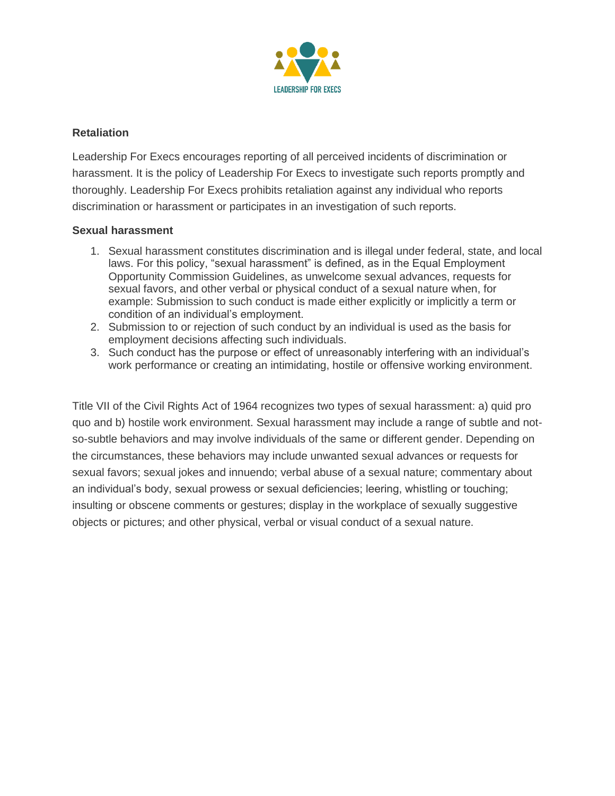

### **Retaliation**

Leadership For Execs encourages reporting of all perceived incidents of discrimination or harassment. It is the policy of Leadership For Execs to investigate such reports promptly and thoroughly. Leadership For Execs prohibits retaliation against any individual who reports discrimination or harassment or participates in an investigation of such reports.

#### **Sexual harassment**

- 1. Sexual harassment constitutes discrimination and is illegal under federal, state, and local laws. For this policy, "sexual harassment" is defined, as in the Equal Employment Opportunity Commission Guidelines, as unwelcome sexual advances, requests for sexual favors, and other verbal or physical conduct of a sexual nature when, for example: Submission to such conduct is made either explicitly or implicitly a term or condition of an individual's employment.
- 2. Submission to or rejection of such conduct by an individual is used as the basis for employment decisions affecting such individuals.
- 3. Such conduct has the purpose or effect of unreasonably interfering with an individual's work performance or creating an intimidating, hostile or offensive working environment.

Title VII of the Civil Rights Act of 1964 recognizes two types of sexual harassment: a) quid pro quo and b) hostile work environment. Sexual harassment may include a range of subtle and notso-subtle behaviors and may involve individuals of the same or different gender. Depending on the circumstances, these behaviors may include unwanted sexual advances or requests for sexual favors; sexual jokes and innuendo; verbal abuse of a sexual nature; commentary about an individual's body, sexual prowess or sexual deficiencies; leering, whistling or touching; insulting or obscene comments or gestures; display in the workplace of sexually suggestive objects or pictures; and other physical, verbal or visual conduct of a sexual nature.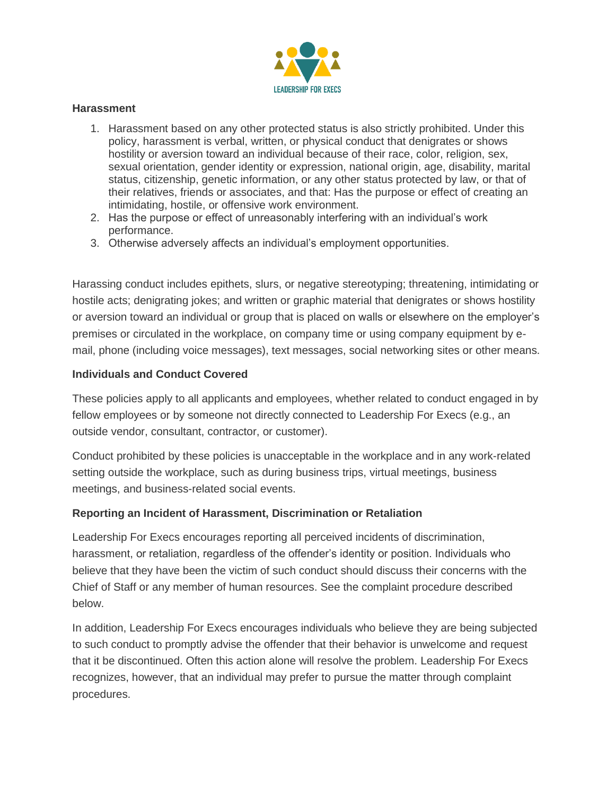

#### **Harassment**

- 1. Harassment based on any other protected status is also strictly prohibited. Under this policy, harassment is verbal, written, or physical conduct that denigrates or shows hostility or aversion toward an individual because of their race, color, religion, sex, sexual orientation, gender identity or expression, national origin, age, disability, marital status, citizenship, genetic information, or any other status protected by law, or that of their relatives, friends or associates, and that: Has the purpose or effect of creating an intimidating, hostile, or offensive work environment.
- 2. Has the purpose or effect of unreasonably interfering with an individual's work performance.
- 3. Otherwise adversely affects an individual's employment opportunities.

Harassing conduct includes epithets, slurs, or negative stereotyping; threatening, intimidating or hostile acts; denigrating jokes; and written or graphic material that denigrates or shows hostility or aversion toward an individual or group that is placed on walls or elsewhere on the employer's premises or circulated in the workplace, on company time or using company equipment by email, phone (including voice messages), text messages, social networking sites or other means.

### **Individuals and Conduct Covered**

These policies apply to all applicants and employees, whether related to conduct engaged in by fellow employees or by someone not directly connected to Leadership For Execs (e.g., an outside vendor, consultant, contractor, or customer).

Conduct prohibited by these policies is unacceptable in the workplace and in any work-related setting outside the workplace, such as during business trips, virtual meetings, business meetings, and business-related social events.

## **Reporting an Incident of Harassment, Discrimination or Retaliation**

Leadership For Execs encourages reporting all perceived incidents of discrimination, harassment, or retaliation, regardless of the offender's identity or position. Individuals who believe that they have been the victim of such conduct should discuss their concerns with the Chief of Staff or any member of human resources. See the complaint procedure described below.

In addition, Leadership For Execs encourages individuals who believe they are being subjected to such conduct to promptly advise the offender that their behavior is unwelcome and request that it be discontinued. Often this action alone will resolve the problem. Leadership For Execs recognizes, however, that an individual may prefer to pursue the matter through complaint procedures.